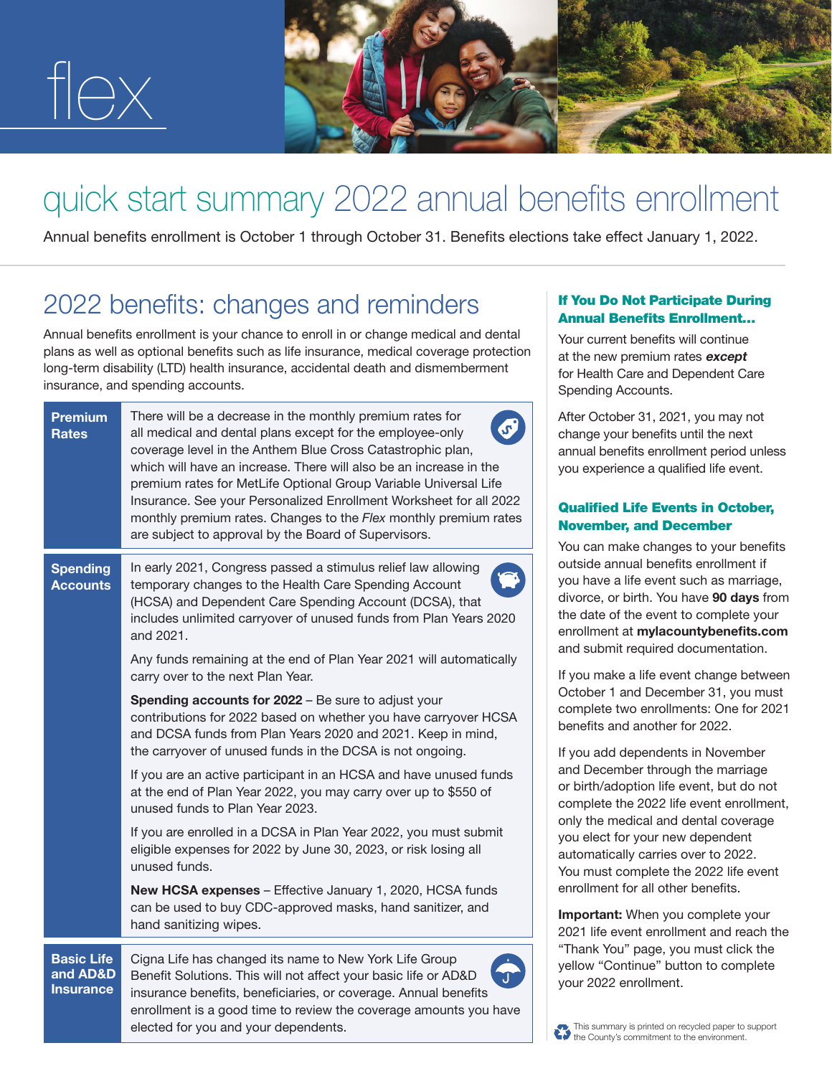

## quick start summary 2022 annual benefits enrollment

Annual benefits enrollment is October 1 through October 31. Benefits elections take effect January 1, 2022.

## 2022 benefits: changes and reminders

Annual benefits enrollment is your chance to enroll in or change medical and dental plans as well as optional benefits such as life insurance, medical coverage protection long-term disability (LTD) health insurance, accidental death and dismemberment insurance, and spending accounts.

| <b>Premium</b><br><b>Rates</b>                    | There will be a decrease in the monthly premium rates for<br>all medical and dental plans except for the employee-only<br>coverage level in the Anthem Blue Cross Catastrophic plan,<br>which will have an increase. There will also be an increase in the<br>premium rates for MetLife Optional Group Variable Universal Life<br>Insurance. See your Personalized Enrollment Worksheet for all 2022<br>monthly premium rates. Changes to the Flex monthly premium rates<br>are subject to approval by the Board of Supervisors.                                                                                                                                                                                                                                                                                                                                                                                                                                                                                                                                                                                              | After October 31, 2021, you may not<br>change your benefits until the next<br>annual benefits enrollment period unless<br>you experience a qualified life event.<br><b>Qualified Life Events in October,</b><br><b>November, and December</b>                                                                                                                                                                                                                                                                                                                                                                                                                                                                                                                                                                                                                                                                    |
|---------------------------------------------------|-------------------------------------------------------------------------------------------------------------------------------------------------------------------------------------------------------------------------------------------------------------------------------------------------------------------------------------------------------------------------------------------------------------------------------------------------------------------------------------------------------------------------------------------------------------------------------------------------------------------------------------------------------------------------------------------------------------------------------------------------------------------------------------------------------------------------------------------------------------------------------------------------------------------------------------------------------------------------------------------------------------------------------------------------------------------------------------------------------------------------------|------------------------------------------------------------------------------------------------------------------------------------------------------------------------------------------------------------------------------------------------------------------------------------------------------------------------------------------------------------------------------------------------------------------------------------------------------------------------------------------------------------------------------------------------------------------------------------------------------------------------------------------------------------------------------------------------------------------------------------------------------------------------------------------------------------------------------------------------------------------------------------------------------------------|
| <b>Spending</b><br><b>Accounts</b>                | In early 2021, Congress passed a stimulus relief law allowing<br>temporary changes to the Health Care Spending Account<br>(HCSA) and Dependent Care Spending Account (DCSA), that<br>includes unlimited carryover of unused funds from Plan Years 2020<br>and 2021.<br>Any funds remaining at the end of Plan Year 2021 will automatically<br>carry over to the next Plan Year.<br>Spending accounts for 2022 - Be sure to adjust your<br>contributions for 2022 based on whether you have carryover HCSA<br>and DCSA funds from Plan Years 2020 and 2021. Keep in mind,<br>the carryover of unused funds in the DCSA is not ongoing.<br>If you are an active participant in an HCSA and have unused funds<br>at the end of Plan Year 2022, you may carry over up to \$550 of<br>unused funds to Plan Year 2023.<br>If you are enrolled in a DCSA in Plan Year 2022, you must submit<br>eligible expenses for 2022 by June 30, 2023, or risk losing all<br>unused funds.<br>New HCSA expenses - Effective January 1, 2020, HCSA funds<br>can be used to buy CDC-approved masks, hand sanitizer, and<br>hand sanitizing wipes. | You can make changes to your benefits<br>outside annual benefits enrollment if<br>you have a life event such as marriage,<br>divorce, or birth. You have 90 days from<br>the date of the event to complete your<br>enrollment at mylacountybenefits.com<br>and submit required documentation.<br>If you make a life event change between<br>October 1 and December 31, you must<br>complete two enrollments: One for 2021<br>benefits and another for 2022.<br>If you add dependents in November<br>and December through the marriage<br>or birth/adoption life event, but do not<br>complete the 2022 life event enrollment,<br>only the medical and dental coverage<br>you elect for your new dependent<br>automatically carries over to 2022.<br>You must complete the 2022 life event<br>enrollment for all other benefits.<br>Important: When you complete your<br>2021 life event enrollment and reach the |
| <b>Basic Life</b><br>and AD&D<br><b>Insurance</b> | Cigna Life has changed its name to New York Life Group<br>Benefit Solutions. This will not affect your basic life or AD&D<br>insurance benefits, beneficiaries, or coverage. Annual benefits<br>enrollment is a good time to review the coverage amounts you have<br>elected for you and your dependents.                                                                                                                                                                                                                                                                                                                                                                                                                                                                                                                                                                                                                                                                                                                                                                                                                     | "Thank You" page, you must click the<br>yellow "Continue" button to complete<br>your 2022 enrollment.<br>This summary is printed on recycled paper to support                                                                                                                                                                                                                                                                                                                                                                                                                                                                                                                                                                                                                                                                                                                                                    |



If You Do Not Participate During Annual Benefits Enrollment… Your current benefits will continue at the new premium rates except for Health Care and Dependent Care

Spending Accounts.